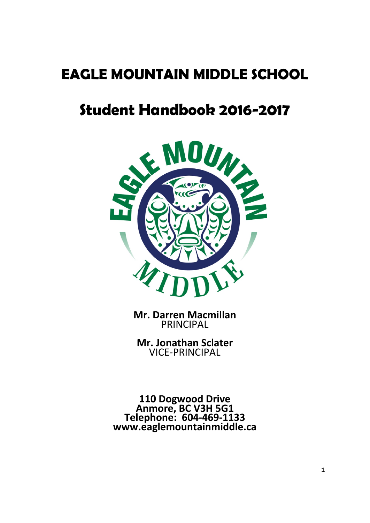# **EAGLE MOUNTAIN MIDDLE SCHOOL**

# **Student Handbook 2016-2017**



**Mr. Darren Macmillan** PRINCIPAL

**Mr. Jonathan Sclater** VICE-PRINCIPAL

**110 Dogwood Drive Anmore, BC V3H 5G1 Telephone: 604-469-1133 www.eaglemountainmiddle.ca**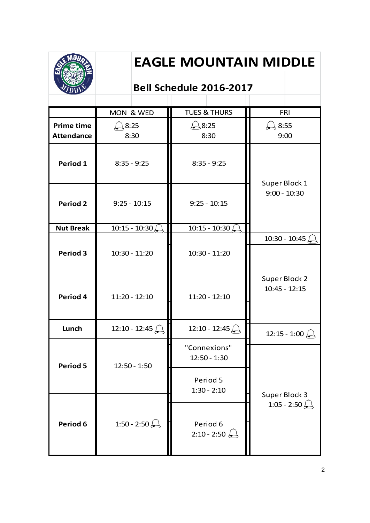|                                        | <b>EAGLE MOUNTAIN MIDDLE</b><br><b>Bell Schedule 2016-2017</b> |                                |                                  |  |
|----------------------------------------|----------------------------------------------------------------|--------------------------------|----------------------------------|--|
|                                        |                                                                |                                |                                  |  |
|                                        | MON & WED                                                      | <b>TUES &amp; THURS</b>        | <b>FRI</b>                       |  |
| <b>Prime time</b><br><b>Attendance</b> | $\frac{1}{2}8:25$<br>8:30                                      | $-8:25$<br>8:30                | 8:55<br>9:00                     |  |
| Period 1                               | $8:35 - 9:25$                                                  | $8:35 - 9:25$                  |                                  |  |
| <b>Period 2</b>                        | $9:25 - 10:15$                                                 | $9:25 - 10:15$                 | Super Block 1<br>$9:00 - 10:30$  |  |
| <b>Nut Break</b>                       | $10:15 - 10:30$                                                | 10:15 - 10:30 $\sqrt{s}$       |                                  |  |
| <b>Period 3</b>                        | $10:30 - 11:20$                                                | $10:30 - 11:20$                | 10:30 - 10:45 $\sqrt{ }$         |  |
| Period 4                               | $11:20 - 12:10$                                                | $11:20 - 12:10$                | Super Block 2<br>$10:45 - 12:15$ |  |
| Lunch                                  | $12:10 - 12:45$                                                | $12:10 - 12:45$                | 12:15 - 1:00 $\bigoplus$         |  |
| <b>Period 5</b>                        | $12:50 - 1:50$                                                 | "Connexions"<br>$12:50 - 1:30$ |                                  |  |
|                                        |                                                                | Period 5<br>$1:30 - 2:10$      | Super Block 3                    |  |
| Period 6                               | 1:50 - 2:50 $\&$                                               | Period 6<br>$2:10 - 2:50$      | 1:05 - 2:50                      |  |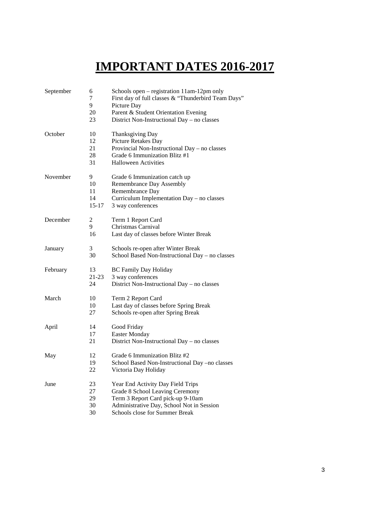# **IMPORTANT DATES 2016-2017**

| September | 6<br>7<br>9<br>20<br>23          | Schools open – registration 11am-12pm only<br>First day of full classes & "Thunderbird Team Days"<br>Picture Day<br>Parent & Student Orientation Evening<br>District Non-Instructional Day - no classes |  |
|-----------|----------------------------------|---------------------------------------------------------------------------------------------------------------------------------------------------------------------------------------------------------|--|
| October   | 10<br>12<br>21<br>28<br>31       | Thanksgiving Day<br>Picture Retakes Day<br>Provincial Non-Instructional Day - no classes<br>Grade 6 Immunization Blitz #1<br><b>Halloween Activities</b>                                                |  |
| November  | 9<br>10<br>11<br>14<br>$15 - 17$ | Grade 6 Immunization catch up<br>Remembrance Day Assembly<br>Remembrance Day<br>Curriculum Implementation Day - no classes<br>3 way conferences                                                         |  |
| December  | $\overline{c}$<br>9<br>16        | Term 1 Report Card<br>Christmas Carnival<br>Last day of classes before Winter Break                                                                                                                     |  |
| January   | 3<br>30                          | Schools re-open after Winter Break<br>School Based Non-Instructional Day - no classes                                                                                                                   |  |
| February  | 13<br>$21-23$<br>24              | <b>BC Family Day Holiday</b><br>3 way conferences<br>District Non-Instructional Day – no classes                                                                                                        |  |
| March     | 10<br>10<br>27                   | Term 2 Report Card<br>Last day of classes before Spring Break<br>Schools re-open after Spring Break                                                                                                     |  |
| April     | 14<br>17<br>21                   | Good Friday<br><b>Easter Monday</b><br>District Non-Instructional Day - no classes                                                                                                                      |  |
| May       | 12<br>19<br>22                   | Grade 6 Immunization Blitz #2<br>School Based Non-Instructional Day -no classes<br>Victoria Day Holiday                                                                                                 |  |
| June      | 23<br>27<br>29<br>30<br>30       | Year End Activity Day Field Trips<br>Grade 8 School Leaving Ceremony<br>Term 3 Report Card pick-up 9-10am<br>Administrative Day, School Not in Session<br>Schools close for Summer Break                |  |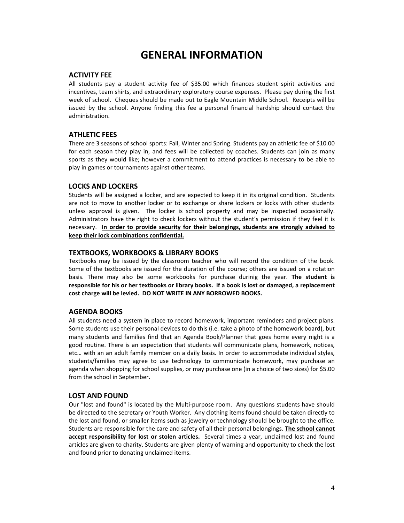# **GENERAL INFORMATION**

### **ACTIVITY FEE**

All students pay a student activity fee of \$35.00 which finances student spirit activities and incentives, team shirts, and extraordinary exploratory course expenses. Please pay during the first week of school. Cheques should be made out to Eagle Mountain Middle School. Receipts will be issued by the school. Anyone finding this fee a personal financial hardship should contact the administration.

#### **ATHLETIC FEES**

There are 3 seasons of school sports: Fall, Winter and Spring. Students pay an athletic fee of \$10.00 for each season they play in, and fees will be collected by coaches. Students can join as many sports as they would like; however a commitment to attend practices is necessary to be able to play in games or tournaments against other teams.

#### **LOCKS AND LOCKERS**

Students will be assigned a locker, and are expected to keep it in its original condition. Students are not to move to another locker or to exchange or share lockers or locks with other students unless approval is given. The locker is school property and may be inspected occasionally. Administrators have the right to check lockers without the student's permission if they feel it is necessary. **In order to provide security for their belongings, students are strongly advised to keep their lock combinations confidential.**

#### **TEXTBOOKS, WORKBOOKS & LIBRARY BOOKS**

Textbooks may be issued by the classroom teacher who will record the condition of the book. Some of the textbooks are issued for the duration of the course; others are issued on a rotation basis. There may also be some workbooks for purchase durinig the year. **The student is responsible for his or her textbooks or library books. If a book is lost or damaged, a replacement cost charge will be levied. DO NOT WRITE IN ANY BORROWED BOOKS.**

#### **AGENDA BOOKS**

All students need a system in place to record homework, important reminders and project plans. Some students use their personal devices to do this (i.e. take a photo of the homework board), but many students and families find that an Agenda Book/Planner that goes home every night is a good routine. There is an expectation that students will communicate plans, homework, notices, etc… with an an adult family member on a daily basis. In order to accommodate individual styles, students/families may agree to use technology to communicate homework, may purchase an agenda when shopping for school supplies, or may purchase one (in a choice of two sizes) for \$5.00 from the school in September.

#### **LOST AND FOUND**

Our "lost and found" is located by the Multi-purpose room. Any questions students have should be directed to the secretary or Youth Worker. Any clothing items found should be taken directly to the lost and found, or smaller items such as jewelry or technology should be brought to the office. Students are responsible for the care and safety of all their personal belongings. **The school cannot accept responsibility for lost or stolen articles.** Several times a year, unclaimed lost and found articles are given to charity. Students are given plenty of warning and opportunity to check the lost and found prior to donating unclaimed items.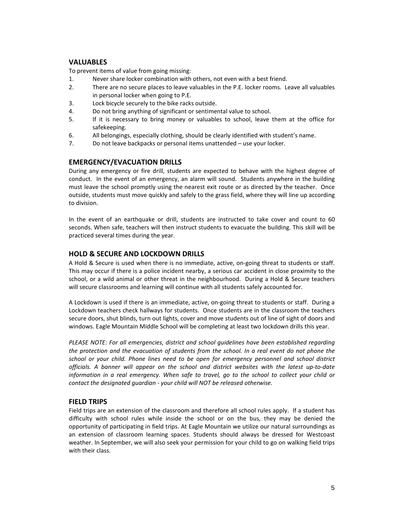# **VALUABLES**

To prevent items of value from going missing:

- 1. Never share locker combination with others, not even with a best friend.
- 2. There are no secure places to leave valuables in the P.E. locker rooms. Leave all valuables in personal locker when going to P.E.
- 3. Lock bicycle securely to the bike racks outside.
- 4. Do not bring anything of significant or sentimental value to school.
- 5. If it is necessary to bring money or valuables to school, leave them at the office for safekeeping.
- 6. All belongings, especially clothing, should be clearly identified with student's name.
- 7. Do not leave backpacks or personal items unattended use your locker.

# **EMERGENCY/EVACUATION DRILLS**

During any emergency or fire drill, students are expected to behave with the highest degree of conduct. In the event of an emergency, an alarm will sound. Students anywhere in the building must leave the school promptly using the nearest exit route or as directed by the teacher. Once outside, students must move quickly and safely to the grass field, where they will line up according to division.

In the event of an earthquake or drill, students are instructed to take cover and count to 60 seconds. When safe, teachers will then instruct students to evacuate the building. This skill will be practiced several times during the year.

# **HOLD & SECURE AND LOCKDOWN DRILLS**

A Hold & Secure is used when there is no immediate, active, on-going threat to students or staff. This may occur if there is a police incident nearby, a serious car accident in close proximity to the school, or a wild animal or other threat in the neighbourhood. During a Hold & Secure teachers will secure classrooms and learning will continue with all students safely accounted for.

A Lockdown is used if there is an immediate, active, on-going threat to students or staff. During a Lockdown teachers check hallways for students. Once students are in the classroom the teachers secure doors, shut blinds, turn out lights, cover and move students out of line of sight of doors and windows. Eagle Mountain Middle School will be completing at least two lockdown drills this year.

*PLEASE NOTE: For all emergencies, district and school guidelines have been established regarding the protection and the evacuation of students from the school. In a real event do not phone the school or your child. Phone lines need to be open for emergency personnel and school district officials. A banner will appear on the school and district websites with the latest up-to-date information in a real emergency. When safe to travel, go to the school to collect your child or contact the designated guardian - your child will NOT be released otherwise.*

# **FIELD TRIPS**

Field trips are an extension of the classroom and therefore all school rules apply. If a student has difficulty with school rules while inside the school or on the bus, they may be denied the opportunity of participating in field trips. At Eagle Mountain we utilize our natural surroundings as an extension of classroom learning spaces. Students should always be dressed for Westcoast weather. In September, we will also seek your permission for your child to go on walking field trips with their class.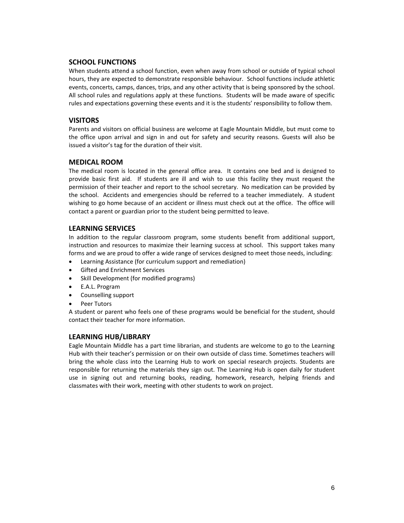# **SCHOOL FUNCTIONS**

When students attend a school function, even when away from school or outside of typical school hours, they are expected to demonstrate responsible behaviour. School functions include athletic events, concerts, camps, dances, trips, and any other activity that is being sponsored by the school. All school rules and regulations apply at these functions. Students will be made aware of specific rules and expectations governing these events and it is the students' responsibility to follow them.

# **VISITORS**

Parents and visitors on official business are welcome at Eagle Mountain Middle, but must come to the office upon arrival and sign in and out for safety and security reasons. Guests will also be issued a visitor's tag for the duration of their visit.

# **MEDICAL ROOM**

The medical room is located in the general office area. It contains one bed and is designed to provide basic first aid. If students are ill and wish to use this facility they must request the permission of their teacher and report to the school secretary. No medication can be provided by the school. Accidents and emergencies should be referred to a teacher immediately. A student wishing to go home because of an accident or illness must check out at the office. The office will contact a parent or guardian prior to the student being permitted to leave.

# **LEARNING SERVICES**

In addition to the regular classroom program, some students benefit from additional support, instruction and resources to maximize their learning success at school. This support takes many forms and we are proud to offer a wide range of services designed to meet those needs, including:

- Learning Assistance (for curriculum support and remediation)
- Gifted and Enrichment Services
- Skill Development (for modified programs)
- E.A.L. Program
- Counselling support
- Peer Tutors

A student or parent who feels one of these programs would be beneficial for the student, should contact their teacher for more information.

#### **LEARNING HUB/LIBRARY**

Eagle Mountain Middle has a part time librarian, and students are welcome to go to the Learning Hub with their teacher's permission or on their own outside of class time. Sometimes teachers will bring the whole class into the Learning Hub to work on special research projects. Students are responsible for returning the materials they sign out. The Learning Hub is open daily for student use in signing out and returning books, reading, homework, research, helping friends and classmates with their work, meeting with other students to work on project.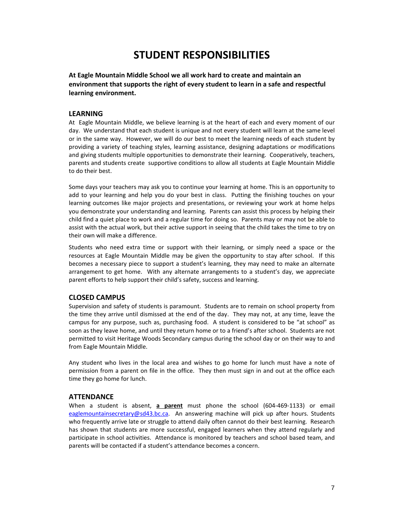# **STUDENT RESPONSIBILITIES**

**At Eagle Mountain Middle School we all work hard to create and maintain an environment that supports the right of every student to learn in a safe and respectful learning environment.**

#### **LEARNING**

At Eagle Mountain Middle, we believe learning is at the heart of each and every moment of our day. We understand that each student is unique and not every student will learn at the same level or in the same way. However, we will do our best to meet the learning needs of each student by providing a variety of teaching styles, learning assistance, designing adaptations or modifications and giving students multiple opportunities to demonstrate their learning. Cooperatively, teachers, parents and students create supportive conditions to allow all students at Eagle Mountain Middle to do their best.

Some days your teachers may ask you to continue your learning at home. This is an opportunity to add to your learning and help you do your best in class. Putting the finishing touches on your learning outcomes like major projects and presentations, or reviewing your work at home helps you demonstrate your understanding and learning. Parents can assist this process by helping their child find a quiet place to work and a regular time for doing so. Parents may or may not be able to assist with the actual work, but their active support in seeing that the child takes the time to try on their own will make a difference.

Students who need extra time or support with their learning, or simply need a space or the resources at Eagle Mountain Middle may be given the opportunity to stay after school. If this becomes a necessary piece to support a student's learning, they may need to make an alternate arrangement to get home. With any alternate arrangements to a student's day, we appreciate parent efforts to help support their child's safety, success and learning.

#### **CLOSED CAMPUS**

Supervision and safety of students is paramount. Students are to remain on school property from the time they arrive until dismissed at the end of the day. They may not, at any time, leave the campus for any purpose, such as, purchasing food. A student is considered to be "at school" as soon as they leave home, and until they return home or to a friend's after school. Students are not permitted to visit Heritage Woods Secondary campus during the school day or on their way to and from Eagle Mountain Middle.

Any student who lives in the local area and wishes to go home for lunch must have a note of permission from a parent on file in the office. They then must sign in and out at the office each time they go home for lunch.

#### **ATTENDANCE**

When a student is absent, **a parent** must phone the school (604-469-1133) or email [eaglemountainsecretary@sd43.bc.ca.](mailto:eaglemountainmiddle@sd43.bc.ca) An answering machine will pick up after hours. Students who frequently arrive late or struggle to attend daily often cannot do their best learning. Research has shown that students are more successful, engaged learners when they attend regularly and participate in school activities. Attendance is monitored by teachers and school based team, and parents will be contacted if a student's attendance becomes a concern.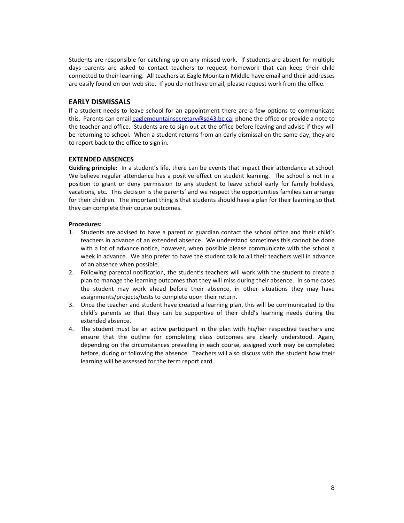Students are responsible for catching up on any missed work. If students are absent for multiple days parents are asked to contact teachers to request homework that can keep their child connected to their learning. All teachers at Eagle Mountain Middle have email and their addresses are easily found on our web site. If you do not have email, please request work from the office.

#### **EARLY DISMISSALS**

If a student needs to leave school for an appointment there are a few options to communicate this. Parents can email [eaglemountainsecretary@sd43.bc.ca;](mailto:eaglemountainmiddle@sd43.bc.ca) phone the office or provide a note to the teacher and office. Students are to sign out at the office before leaving and advise if they will be returning to school. When a student returns from an early dismissal on the same day, they are to report back to the office to sign in.

#### **EXTENDED ABSENCES**

**Guiding principle:** In a student's life, there can be events that impact their attendance at school. We believe regular attendance has a positive effect on student learning. The school is not in a position to grant or deny permission to any student to leave school early for family holidays, vacations, etc. This decision is the parents' and we respect the opportunities families can arrange for their children. The important thing is that students should have a plan for their learning so that they can complete their course outcomes.

#### **Procedures:**

- 1. Students are advised to have a parent or guardian contact the school office and their child's teachers in advance of an extended absence. We understand sometimes this cannot be done with a lot of advance notice, however, when possible please communicate with the school a week in advance. We also prefer to have the student talk to all their teachers well in advance of an absence when possible.
- 2. Following parental notification, the student's teachers will work with the student to create a plan to manage the learning outcomes that they will miss during their absence. In some cases the student may work ahead before their absence, in other situations they may have assignments/projects/tests to complete upon their return.
- 3. Once the teacher and student have created a learning plan, this will be communicated to the child's parents so that they can be supportive of their child's learning needs during the extended absence.
- 4. The student must be an active participant in the plan with his/her respective teachers and ensure that the outline for completing class outcomes are clearly understood. Again, depending on the circumstances prevailing in each course, assigned work may be completed before, during or following the absence. Teachers will also discuss with the student how their learning will be assessed for the term report card.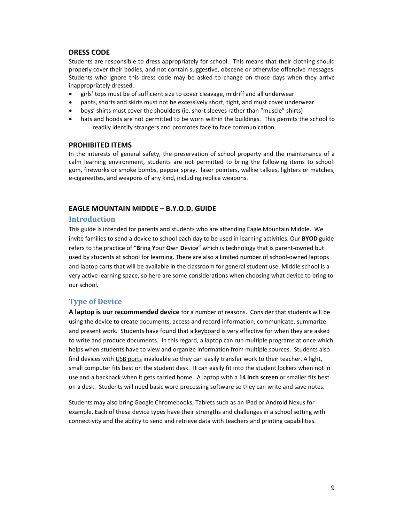#### **DRESS CODE**

Students are responsible to dress appropriately for school. This means that their clothing should properly cover their bodies, and not contain suggestive, obscene or otherwise offensive messages. Students who ignore this dress code may be asked to change on those days when they arrive inappropriately dressed.

- girls' tops must be of sufficient size to cover cleavage, midriff and all underwear
- pants, shorts and skirts must not be excessively short, tight, and must cover underwear
- boys' shirts must cover the shoulders (ie, short sleeves rather than "muscle" shirts)
- hats and hoods are not permitted to be worn within the buildings. This permits the school to readily identify strangers and promotes face to face communication.

#### **PROHIBITED ITEMS**

In the interests of general safety, the preservation of school property and the maintenance of a calm learning environment, students are not permitted to bring the following items to school: gum, fireworks or smoke bombs, pepper spray, laser pointers, walkie talkies, lighters or matches, e-cigareettes, and weapons of any kind, including replica weapons.

# **EAGLE MOUNTAIN MIDDLE – B.Y.O.D. GUIDE**

#### **Introduction**

This guide is intended for parents and students who are attending Eagle Mountain Middle. We invite families to send a device to school each day to be used in learning activities. Our **BYOD** guide refers to the practice of "**B**ring **Y**our **O**wn **D**evice" which is technology that is parent-owned but used by students at school for learning. There are also a limited number of school-owned laptops and laptop carts that will be available in the classroom for general student use. Middle school is a very active learning space, so here are some considerations when choosing what device to bring to our school.

# **Type of Device**

**A laptop is our recommended device** for a number of reasons. Consider that students will be using the device to create documents, access and record information, communicate, summarize and present work. Students have found that a keyboard is very effective for when they are asked to write and produce documents. In this regard, a laptop can run multiple programs at once which helps when students have to view and organize information from multiple sources. Students also find devices with USB ports invaluable so they can easily transfer work to their teacher. A light, small computer fits best on the student desk. It can easily fit into the student lockers when not in use and a backpack when it gets carried home. A laptop with a **14 inch screen** or smaller fits best on a desk. Students will need basic word processing software so they can write and save notes.

Students may also bring Google Chromebooks, Tablets such as an iPad or Android Nexus for example. Each of these device types have their strengths and challenges in a school setting with connectivity and the ability to send and retrieve data with teachers and printing capabilities.